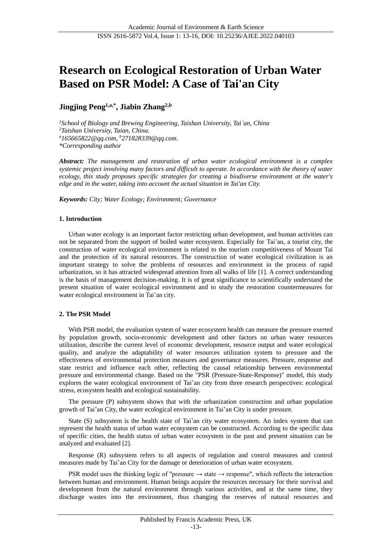# **Research on Ecological Restoration of Urban Water Based on PSR Model: A Case of Tai'an City**

**Jingjing Peng1,a,\* , Jiabin Zhang2,b**

*<sup>1</sup>School of Biology and Brewing Engineering, Taishan University, Tai'an, China <sup>2</sup>Taishan University, Taian, China. <sup>a</sup>165665822@qq.com, <sup>b</sup>271828339@qq.com. \*Corresponding author*

*Abstract: The management and restoration of urban water ecological environment is a complex systemic project involving many factors and difficult to operate. In accordance with the theory of water ecology, this study proposes specific strategies for creating a biodiverse environment at the water's edge and in the water, taking into account the actual situation in Tai'an City.*

*Keywords: City; Water Ecology; Environment; Governance*

## **1. Introduction**

Urban water ecology is an important factor restricting urban development, and human activities can not be separated from the support of boiled water ecosystem. Especially for Tai'an, a tourist city, the construction of water ecological environment is related to the tourism competitiveness of Mount Tai and the protection of its natural resources. The construction of water ecological civilization is an important strategy to solve the problems of resources and environment in the process of rapid urbanization, so it has attracted widespread attention from all walks of life [1]. A correct understanding is the basis of management decision-making. It is of great significance to scientifically understand the present situation of water ecological environment and to study the restoration countermeasures for water ecological environment in Tai'an city.

## **2. The PSR Model**

With PSR model, the evaluation system of water ecosystem health can measure the pressure exerted by population growth, socio-economic development and other factors on urban water resources utilization, describe the current level of economic development, resource output and water ecological quality, and analyze the adaptability of water resources utilization system to pressure and the effectiveness of environmental protection measures and governance measures. Pressure, response and state restrict and influence each other, reflecting the causal relationship between environmental pressure and environmental change. Based on the "PSR (Pressure-State-Response)" model, this study explores the water ecological environment of Tai'an city from three research perspectives: ecological stress, ecosystem health and ecological sustainability.

The pressure (P) subsystem shows that with the urbanization construction and urban population growth of Tai'an City, the water ecological environment in Tai'an City is under pressure.

State (S) subsystem is the health state of Tai'an city water ecosystem. An index system that can represent the health status of urban water ecosystem can be constructed. According to the specific data of specific cities, the health status of urban water ecosystem in the past and present situation can be analyzed and evaluated [2].

Response (R) subsystem refers to all aspects of regulation and control measures and control measures made by Tai'an City for the damage or deterioration of urban water ecosystem.

PSR model uses the thinking logic of "pressure  $\rightarrow$  state  $\rightarrow$  response", which reflects the interaction between human and environment. Human beings acquire the resources necessary for their survival and development from the natural environment through various activities, and at the same time, they discharge wastes into the environment, thus changing the reserves of natural resources and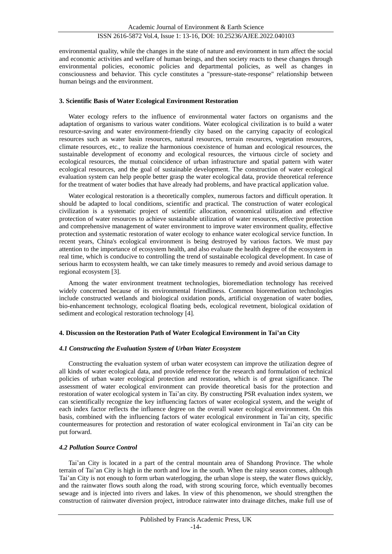environmental quality, while the changes in the state of nature and environment in turn affect the social and economic activities and welfare of human beings, and then society reacts to these changes through environmental policies, economic policies and departmental policies, as well as changes in consciousness and behavior. This cycle constitutes a "pressure-state-response" relationship between human beings and the environment.

## **3. Scientific Basis of Water Ecological Environment Restoration**

Water ecology refers to the influence of environmental water factors on organisms and the adaptation of organisms to various water conditions. Water ecological civilization is to build a water resource-saving and water environment-friendly city based on the carrying capacity of ecological resources such as water basin resources, natural resources, terrain resources, vegetation resources, climate resources, etc., to realize the harmonious coexistence of human and ecological resources, the sustainable development of economy and ecological resources, the virtuous circle of society and ecological resources, the mutual coincidence of urban infrastructure and spatial pattern with water ecological resources, and the goal of sustainable development. The construction of water ecological evaluation system can help people better grasp the water ecological data, provide theoretical reference for the treatment of water bodies that have already had problems, and have practical application value.

Water ecological restoration is a theoretically complex, numerous factors and difficult operation. It should be adapted to local conditions, scientific and practical. The construction of water ecological civilization is a systematic project of scientific allocation, economical utilization and effective protection of water resources to achieve sustainable utilization of water resources, effective protection and comprehensive management of water environment to improve water environment quality, effective protection and systematic restoration of water ecology to enhance water ecological service function. In recent years, China's ecological environment is being destroyed by various factors. We must pay attention to the importance of ecosystem health, and also evaluate the health degree of the ecosystem in real time, which is conducive to controlling the trend of sustainable ecological development. In case of serious harm to ecosystem health, we can take timely measures to remedy and avoid serious damage to regional ecosystem [3].

Among the water environment treatment technologies, bioremediation technology has received widely concerned because of its environmental friendliness. Common bioremediation technologies include constructed wetlands and biological oxidation ponds, artificial oxygenation of water bodies, bio-enhancement technology, ecological floating beds, ecological revetment, biological oxidation of sediment and ecological restoration technology [4].

## **4. Discussion on the Restoration Path of Water Ecological Environment in Tai'an City**

## *4.1 Constructing the Evaluation System of Urban Water Ecosystem*

Constructing the evaluation system of urban water ecosystem can improve the utilization degree of all kinds of water ecological data, and provide reference for the research and formulation of technical policies of urban water ecological protection and restoration, which is of great significance. The assessment of water ecological environment can provide theoretical basis for the protection and restoration of water ecological system in Tai'an city. By constructing PSR evaluation index system, we can scientifically recognize the key influencing factors of water ecological system, and the weight of each index factor reflects the influence degree on the overall water ecological environment. On this basis, combined with the influencing factors of water ecological environment in Tai'an city, specific countermeasures for protection and restoration of water ecological environment in Tai'an city can be put forward.

# *4.2 Pollution Source Control*

Tai'an City is located in a part of the central mountain area of Shandong Province. The whole terrain of Tai'an City is high in the north and low in the south. When the rainy season comes, although Tai'an City is not enough to form urban waterlogging, the urban slope is steep, the water flows quickly, and the rainwater flows south along the road, with strong scouring force, which eventually becomes sewage and is injected into rivers and lakes. In view of this phenomenon, we should strengthen the construction of rainwater diversion project, introduce rainwater into drainage ditches, make full use of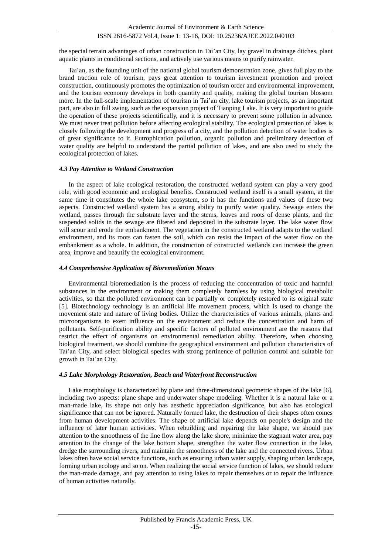# ISSN 2616-5872 Vol.4, Issue 1: 13-16, DOI: 10.25236/AJEE.2022.040103

the special terrain advantages of urban construction in Tai'an City, lay gravel in drainage ditches, plant aquatic plants in conditional sections, and actively use various means to purify rainwater.

Tai'an, as the founding unit of the national global tourism demonstration zone, gives full play to the brand traction role of tourism, pays great attention to tourism investment promotion and project construction, continuously promotes the optimization of tourism order and environmental improvement, and the tourism economy develops in both quantity and quality, making the global tourism blossom more. In the full-scale implementation of tourism in Tai'an city, lake tourism projects, as an important part, are also in full swing, such as the expansion project of Tianping Lake. It is very important to guide the operation of these projects scientifically, and it is necessary to prevent some pollution in advance. We must never treat pollution before affecting ecological stability. The ecological protection of lakes is closely following the development and progress of a city, and the pollution detection of water bodies is of great significance to it. Eutrophication pollution, organic pollution and preliminary detection of water quality are helpful to understand the partial pollution of lakes, and are also used to study the ecological protection of lakes.

#### *4.3 Pay Attention to Wetland Construction*

In the aspect of lake ecological restoration, the constructed wetland system can play a very good role, with good economic and ecological benefits. Constructed wetland itself is a small system, at the same time it constitutes the whole lake ecosystem, so it has the functions and values of these two aspects. Constructed wetland system has a strong ability to purify water quality. Sewage enters the wetland, passes through the substrate layer and the stems, leaves and roots of dense plants, and the suspended solids in the sewage are filtered and deposited in the substrate layer. The lake water flow will scour and erode the embankment. The vegetation in the constructed wetland adapts to the wetland environment, and its roots can fasten the soil, which can resist the impact of the water flow on the embankment as a whole. In addition, the construction of constructed wetlands can increase the green area, improve and beautify the ecological environment.

### *4.4 Comprehensive Application of Bioremediation Means*

Environmental bioremediation is the process of reducing the concentration of toxic and harmful substances in the environment or making them completely harmless by using biological metabolic activities, so that the polluted environment can be partially or completely restored to its original state [5]. Biotechnology technology is an artificial life movement process, which is used to change the movement state and nature of living bodies. Utilize the characteristics of various animals, plants and microorganisms to exert influence on the environment and reduce the concentration and harm of pollutants. Self-purification ability and specific factors of polluted environment are the reasons that restrict the effect of organisms on environmental remediation ability. Therefore, when choosing biological treatment, we should combine the geographical environment and pollution characteristics of Tai'an City, and select biological species with strong pertinence of pollution control and suitable for growth in Tai'an City.

## *4.5 Lake Morphology Restoration, Beach and Waterfront Reconstruction*

Lake morphology is characterized by plane and three-dimensional geometric shapes of the lake [6], including two aspects: plane shape and underwater shape modeling. Whether it is a natural lake or a man-made lake, its shape not only has aesthetic appreciation significance, but also has ecological significance that can not be ignored. Naturally formed lake, the destruction of their shapes often comes from human development activities. The shape of artificial lake depends on people's design and the influence of later human activities. When rebuilding and repairing the lake shape, we should pay attention to the smoothness of the line flow along the lake shore, minimize the stagnant water area, pay attention to the change of the lake bottom shape, strengthen the water flow connection in the lake, dredge the surrounding rivers, and maintain the smoothness of the lake and the connected rivers. Urban lakes often have social service functions, such as ensuring urban water supply, shaping urban landscape, forming urban ecology and so on. When realizing the social service function of lakes, we should reduce the man-made damage, and pay attention to using lakes to repair themselves or to repair the influence of human activities naturally.